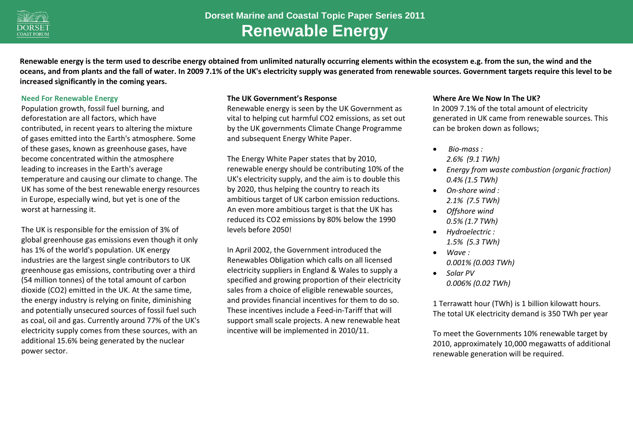

**Renewable energy is the term used to describe energy obtained from unlimited naturally occurring elements within the ecosystem e.g. from the sun, the wind and the oceans, and from plants and the fall of water. In 2009 7.1% of the UK's electricity supply was generated from renewable sources. Government targets require this level to be increased significantly in the coming years.**

#### **Need For Renewable Energy**

Population growth, fossil fuel burning, and deforestation are all factors, which have contributed, in recent years to altering the mixture of gases emitted into the Earth's atmosphere. Some of these gases, known as greenhouse gases, have become concentrated within the atmosphere leading to increases in the Earth's average temperature and causing our climate to change. The UK has some of the best renewable energy resources in Europe, especially wind, but yet is one of the worst at harnessing it.

The UK is responsible for the emission of 3% of global greenhouse gas emissions even though it only has 1% of the world's population. UK energy industries are the largest single contributors to UK greenhouse gas emissions, contributing over a third (54 million tonnes) of the total amount of carbon dioxide (CO2) emitted in the UK. At the same time, the energy industry is relying on finite, diminishing and potentially unsecured sources of fossil fuel such as coal, oil and gas. Currently around 77% of the UK's electricity supply comes from these sources, with an additional 15.6% being generated by the nuclear power sector.

#### **The UK Government's Response**

Renewable energy is seen by the UK Government as vital to helping cut harmful CO2 emissions, as set out by the UK governments Climate Change Programme and subsequent Energy White Paper.

The Energy White Paper states that by 2010, renewable energy should be contributing 10% of the UK's electricity supply, and the aim is to double this by 2020, thus helping the country to reach its ambitious target of UK carbon emission reductions. An even more ambitious target is that the UK has reduced its CO2 emissions by 80% below the 1990 levels before 2050!

In April 2002, the Government introduced the Renewables Obligation which calls on all licensed electricity suppliers in England & Wales to supply a specified and growing proportion of their electricity sales from a choice of eligible renewable sources, and provides financial incentives for them to do so. These incentives include a Feed-in-Tariff that will support small scale projects. A new renewable heat incentive will be implemented in 2010/11.

### **Where Are We Now In The UK?**

In 2009 7.1% of the total amount of electricity generated in UK came from renewable sources. This can be broken down as follows;

- *Bio-mass : 2.6% (9.1 TWh)*
- *Energy from waste combustion (organic fraction) 0.4% (1.5 TWh)*
- *On-shore wind : 2.1% (7.5 TWh)*
- *Offshore wind 0.5% (1.7 TWh)*
- *Hydroelectric : 1.5% (5.3 TWh)*
- $\bullet$   $M$ *ave*  $\cdot$ *0.001% (0.003 TWh)*
- *Solar PV 0.006% (0.02 TWh)*

1 Terrawatt hour (TWh) is 1 billion kilowatt hours. The total UK electricity demand is 350 TWh per year

To meet the Governments 10% renewable target by 2010, approximately 10,000 megawatts of additional renewable generation will be required.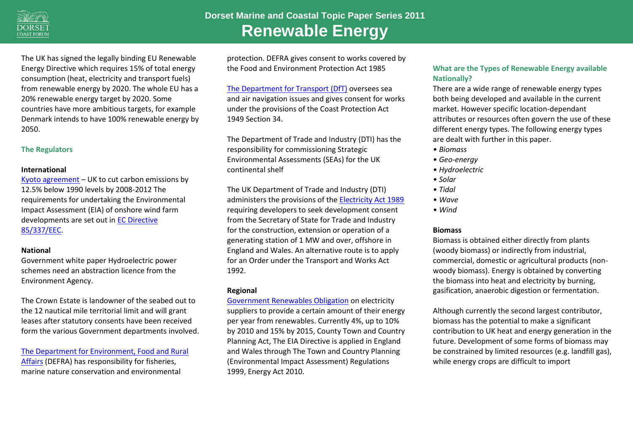

**Dorset Marine and Coastal Topic Paper Series 2011 Renewable Energy**

The UK has signed the legally binding EU Renewable Energy Directive which requires 15% of total energy consumption (heat, electricity and transport fuels) from renewable energy by 2020. The whole EU has a 20% renewable energy target by 2020. Some countries have more ambitious targets, for example Denmark intends to have 100% renewable energy by 2050.

### **The Regulators**

#### **International**

[Kyoto agreement](http://unfccc.int/kyoto_protocol/items/2830.php) – UK to cut carbon emissions by 12.5% below 1990 levels by 2008-2012 The requirements for undertaking the Environmental Impact Assessment (EIA) of onshore wind farm developments are set out in [EC Directive](http://ec.europa.eu/environment/eia/full-legal-text/85337.htm)  [85/337/EEC.](http://ec.europa.eu/environment/eia/full-legal-text/85337.htm)

#### **National**

Government white paper Hydroelectric power schemes need an abstraction licence from the Environment Agency.

The Crown Estate is landowner of the seabed out to the 12 nautical mile territorial limit and will grant leases after statutory consents have been received form the various Government departments involved.

[The Department for Environment, Food and Rural](http://www.defra.gov.uk/)  [Affairs](http://www.defra.gov.uk/) (DEFRA) has responsibility for fisheries, marine nature conservation and environmental

protection. DEFRA gives consent to works covered by the Food and Environment Protection Act 1985

[The Department for Transport \(DfT\)](http://www.dft.gov.uk/) oversees sea and air navigation issues and gives consent for works under the provisions of the Coast Protection Act 1949 Section 34.

The Department of Trade and Industry (DTI) has the responsibility for commissioning Strategic Environmental Assessments (SEAs) for the UK continental shelf

The UK Department of Trade and Industry (DTI) administers the provisions of th[e Electricity Act 1989](http://www.legislation.gov.uk/ukpga/1989/29/contents) requiring developers to seek development consent from the Secretary of State for Trade and Industry for the construction, extension or operation of a generating station of 1 MW and over, offshore in England and Wales. An alternative route is to apply for an Order under the Transport and Works Act 1992.

### **Regional**

[Government Renewables Obligation](http://www.decc.gov.uk/en/content/cms/meeting_energy/renewable_ener/renew_obs/renew_obs.aspx) on electricity suppliers to provide a certain amount of their energy per year from renewables. Currently 4%, up to 10% by 2010 and 15% by 2015, County Town and Country Planning Act, The EIA Directive is applied in England and Wales through The Town and Country Planning (Environmental Impact Assessment) Regulations 1999, Energy Act 2010.

# **What are the Types of Renewable Energy available Nationally?**

There are a wide range of renewable energy types both being developed and available in the current market. However specific location-dependant attributes or resources often govern the use of these different energy types. The following energy types are dealt with further in this paper.

- *Biomass*
- *Geo-energy*
- *Hydroelectric*
- *Solar*
- *Tidal*
- *Wave*
- *Wind*

### **Biomass**

Biomass is obtained either directly from plants (woody biomass) or indirectly from industrial, commercial, domestic or agricultural products (nonwoody biomass). Energy is obtained by converting the biomass into heat and electricity by burning, gasification, anaerobic digestion or fermentation.

Although currently the second largest contributor, biomass has the potential to make a significant contribution to UK heat and energy generation in the future. Development of some forms of biomass may be constrained by limited resources (e.g. landfill gas), while energy crops are difficult to import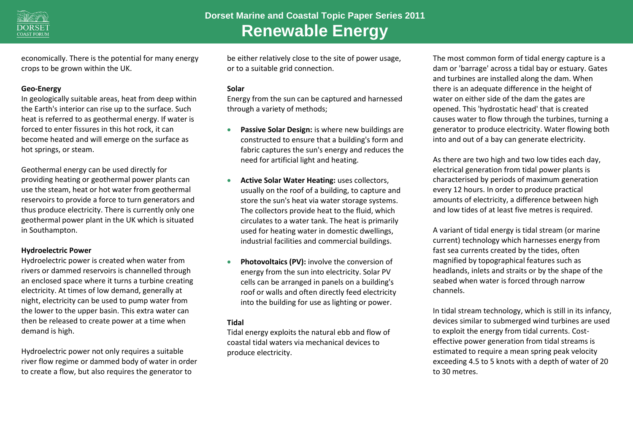

economically. There is the potential for many energy crops to be grown within the UK.

### **Geo-Energy**

In geologically suitable areas, heat from deep within the Earth's interior can rise up to the surface. Such heat is referred to as geothermal energy. If water is forced to enter fissures in this hot rock, it can become heated and will emerge on the surface as hot springs, or steam.

Geothermal energy can be used directly for providing heating or geothermal power plants can use the steam, heat or hot water from geothermal reservoirs to provide a force to turn generators and thus produce electricity. There is currently only one geothermal power plant in the UK which is situated in Southampton.

### **Hydroelectric Power**

Hydroelectric power is created when water from rivers or dammed reservoirs is channelled through an enclosed space where it turns a turbine creating electricity. At times of low demand, generally at night, electricity can be used to pump water from the lower to the upper basin. This extra water can then be released to create power at a time when demand is high.

Hydroelectric power not only requires a suitable river flow regime or dammed body of water in order to create a flow, but also requires the generator to

be either relatively close to the site of power usage, or to a suitable grid connection.

### **Solar**

Energy from the sun can be captured and harnessed through a variety of methods;

- **Passive Solar Design:** is where new buildings are constructed to ensure that a building's form and fabric captures the sun's energy and reduces the need for artificial light and heating.
- **Active Solar Water Heating:** uses collectors, usually on the roof of a building, to capture and store the sun's heat via water storage systems. The collectors provide heat to the fluid, which circulates to a water tank. The heat is primarily used for heating water in domestic dwellings, industrial facilities and commercial buildings.
- **Photovoltaics (PV):** involve the conversion of energy from the sun into electricity. Solar PV cells can be arranged in panels on a building's roof or walls and often directly feed electricity into the building for use as lighting or power.

# **Tidal**

Tidal energy exploits the natural ebb and flow of coastal tidal waters via mechanical devices to produce electricity.

The most common form of tidal energy capture is a dam or 'barrage' across a tidal bay or estuary. Gates and turbines are installed along the dam. When there is an adequate difference in the height of water on either side of the dam the gates are opened. This 'hydrostatic head' that is created causes water to flow through the turbines, turning a generator to produce electricity. Water flowing both into and out of a bay can generate electricity.

As there are two high and two low tides each day, electrical generation from tidal power plants is characterised by periods of maximum generation every 12 hours. In order to produce practical amounts of electricity, a difference between high and low tides of at least five metres is required.

A variant of tidal energy is tidal stream (or marine current) technology which harnesses energy from fast sea currents created by the tides, often magnified by topographical features such as headlands, inlets and straits or by the shape of the seabed when water is forced through narrow channels.

In tidal stream technology, which is still in its infancy, devices similar to submerged wind turbines are used to exploit the energy from tidal currents. Costeffective power generation from tidal streams is estimated to require a mean spring peak velocity exceeding 4.5 to 5 knots with a depth of water of 20 to 30 metres.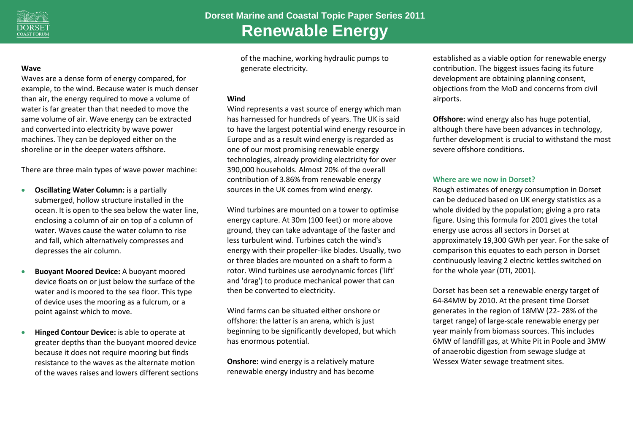

#### **Wave**

Waves are a dense form of energy compared, for example, to the wind. Because water is much denser than air, the energy required to move a volume of water is far greater than that needed to move the same volume of air. Wave energy can be extracted and converted into electricity by wave power machines. They can be deployed either on the shoreline or in the deeper waters offshore.

There are three main types of wave power machine:

- **Oscillating Water Column:** is a partially submerged, hollow structure installed in the ocean. It is open to the sea below the water line, enclosing a column of air on top of a column of water. Waves cause the water column to rise and fall, which alternatively compresses and depresses the air column.
- **Buoyant Moored Device:** A buoyant moored device floats on or just below the surface of the water and is moored to the sea floor. This type of device uses the mooring as a fulcrum, or a point against which to move.
- **Hinged Contour Device:** is able to operate at greater depths than the buoyant moored device because it does not require mooring but finds resistance to the waves as the alternate motion of the waves raises and lowers different sections

of the machine, working hydraulic pumps to generate electricity.

#### **Wind**

Wind represents a vast source of energy which man has harnessed for hundreds of years. The UK is said to have the largest potential wind energy resource in Europe and as a result wind energy is regarded as one of our most promising renewable energy technologies, already providing electricity for over 390,000 households. Almost 20% of the overall contribution of 3.86% from renewable energy sources in the UK comes from wind energy.

Wind turbines are mounted on a tower to optimise energy capture. At 30m (100 feet) or more above ground, they can take advantage of the faster and less turbulent wind. Turbines catch the wind's energy with their propeller-like blades. Usually, two or three blades are mounted on a shaft to form a rotor. Wind turbines use aerodynamic forces ('lift' and 'drag') to produce mechanical power that can then be converted to electricity.

Wind farms can be situated either onshore or offshore: the latter is an arena, which is just beginning to be significantly developed, but which has enormous potential.

**Onshore:** wind energy is a relatively mature renewable energy industry and has become

established as a viable option for renewable energy contribution. The biggest issues facing its future development are obtaining planning consent, objections from the MoD and concerns from civil airports.

**Offshore:** wind energy also has huge potential, although there have been advances in technology, further development is crucial to withstand the most severe offshore conditions.

#### **Where are we now in Dorset?**

Rough estimates of energy consumption in Dorset can be deduced based on UK energy statistics as a whole divided by the population; giving a pro rata figure. Using this formula for 2001 gives the total energy use across all sectors in Dorset at approximately 19,300 GWh per year. For the sake of comparison this equates to each person in Dorset continuously leaving 2 electric kettles switched on for the whole year (DTI, 2001).

Dorset has been set a renewable energy target of 64-84MW by 2010. At the present time Dorset generates in the region of 18MW (22- 28% of the target range) of large-scale renewable energy per year mainly from biomass sources. This includes 6MW of landfill gas, at White Pit in Poole and 3MW of anaerobic digestion from sewage sludge at Wessex Water sewage treatment sites.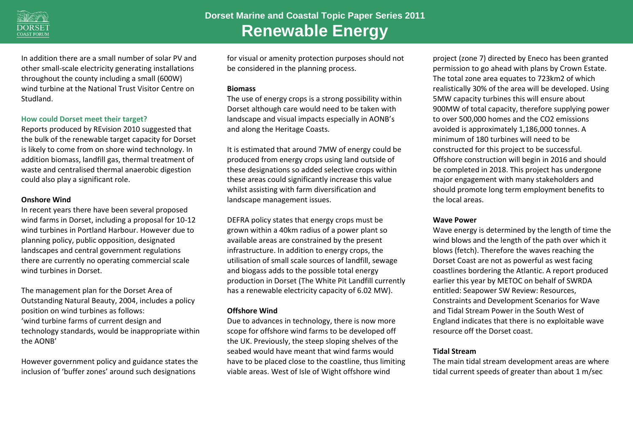

In addition there are a small number of solar PV and other small-scale electricity generating installations throughout the county including a small (600W) wind turbine at the National Trust Visitor Centre on Studland.

#### **How could Dorset meet their target?**

Reports produced by REvision 2010 suggested that the bulk of the renewable target capacity for Dorset is likely to come from on shore wind technology. In addition biomass, landfill gas, thermal treatment of waste and centralised thermal anaerobic digestion could also play a significant role.

#### **Onshore Wind**

In recent years there have been several proposed wind farms in Dorset, including a proposal for 10-12 wind turbines in Portland Harbour. However due to planning policy, public opposition, designated landscapes and central government regulations there are currently no operating commercial scale wind turbines in Dorset.

The management plan for the Dorset Area of Outstanding Natural Beauty, 2004, includes a policy position on wind turbines as follows: 'wind turbine farms of current design and technology standards, would be inappropriate within the AONB'

However government policy and guidance states the inclusion of 'buffer zones' around such designations

for visual or amenity protection purposes should not be considered in the planning process.

#### **Biomass**

The use of energy crops is a strong possibility within Dorset although care would need to be taken with landscape and visual impacts especially in AONB's and along the Heritage Coasts.

It is estimated that around 7MW of energy could be produced from energy crops using land outside of these designations so added selective crops within these areas could significantly increase this value whilst assisting with farm diversification and landscape management issues.

DEFRA policy states that energy crops must be grown within a 40km radius of a power plant so available areas are constrained by the present infrastructure. In addition to energy crops, the utilisation of small scale sources of landfill, sewage and biogass adds to the possible total energy production in Dorset (The White Pit Landfill currently has a renewable electricity capacity of 6.02 MW).

### **Offshore Wind**

Due to advances in technology, there is now more scope for offshore wind farms to be developed off the UK. Previously, the steep sloping shelves of the seabed would have meant that wind farms would have to be placed close to the coastline, thus limiting viable areas. West of Isle of Wight offshore wind

project (zone 7) directed by Eneco has been granted permission to go ahead with plans by Crown Estate. The total zone area equates to 723km2 of which realistically 30% of the area will be developed. Using 5MW capacity turbines this will ensure about 900MW of total capacity, therefore supplying power to over 500,000 homes and the CO2 emissions avoided is approximately 1,186,000 tonnes. A minimum of 180 turbines will need to be constructed for this project to be successful. Offshore construction will begin in 2016 and should be completed in 2018. This project has undergone major engagement with many stakeholders and should promote long term employment benefits to the local areas.

#### **Wave Power**

Wave energy is determined by the length of time the wind blows and the length of the path over which it blows (fetch). Therefore the waves reaching the Dorset Coast are not as powerful as west facing coastlines bordering the Atlantic. A report produced earlier this year by METOC on behalf of SWRDA entitled: Seapower SW Review: Resources, Constraints and Development Scenarios for Wave and Tidal Stream Power in the South West of England indicates that there is no exploitable wave resource off the Dorset coast.

### **Tidal Stream**

The main tidal stream development areas are where tidal current speeds of greater than about 1 m/sec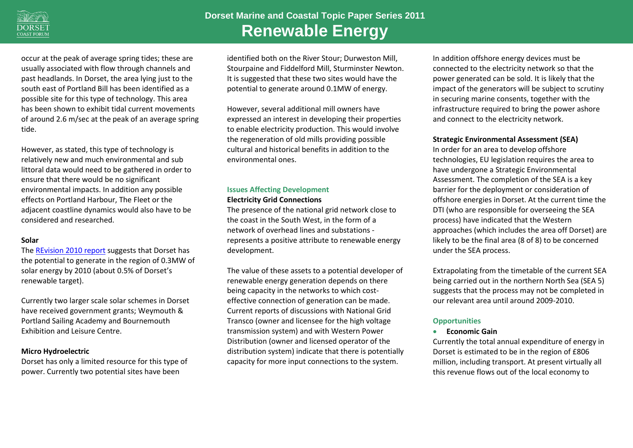

occur at the peak of average spring tides; these are usually associated with flow through channels and past headlands. In Dorset, the area lying just to the south east of Portland Bill has been identified as a possible site for this type of technology. This area has been shown to exhibit tidal current movements of around 2.6 m/sec at the peak of an average spring tide.

However, as stated, this type of technology is relatively new and much environmental and sub littoral data would need to be gathered in order to ensure that there would be no significant environmental impacts. In addition any possible effects on Portland Harbour, The Fleet or the adjacent coastline dynamics would also have to be considered and researched.

#### **Solar**

The [REvision 2010 report](http://www.oursouthwest.com/revision2010/index.htm) suggests that Dorset has the potential to generate in the region of 0.3MW of solar energy by 2010 (about 0.5% of Dorset's renewable target).

Currently two larger scale solar schemes in Dorset have received government grants; Weymouth & Portland Sailing Academy and Bournemouth Exhibition and Leisure Centre.

### **Micro Hydroelectric**

Dorset has only a limited resource for this type of power. Currently two potential sites have been

identified both on the River Stour; Durweston Mill, Stourpaine and Fiddelford Mill, Sturminster Newton. It is suggested that these two sites would have the potential to generate around 0.1MW of energy.

However, several additional mill owners have expressed an interest in developing their properties to enable electricity production. This would involve the regeneration of old mills providing possible cultural and historical benefits in addition to the environmental ones.

# **Issues Affecting Development Electricity Grid Connections**

The presence of the national grid network close to the coast in the South West, in the form of a network of overhead lines and substations represents a positive attribute to renewable energy development.

The value of these assets to a potential developer of renewable energy generation depends on there being capacity in the networks to which costeffective connection of generation can be made. Current reports of discussions with National Grid Transco (owner and licensee for the high voltage transmission system) and with Western Power Distribution (owner and licensed operator of the distribution system) indicate that there is potentially capacity for more input connections to the system.

In addition offshore energy devices must be connected to the electricity network so that the power generated can be sold. It is likely that the impact of the generators will be subject to scrutiny in securing marine consents, together with the infrastructure required to bring the power ashore and connect to the electricity network.

**Strategic Environmental Assessment (SEA)**

In order for an area to develop offshore technologies, EU legislation requires the area to have undergone a Strategic Environmental Assessment. The completion of the SEA is a key barrier for the deployment or consideration of offshore energies in Dorset. At the current time the DTI (who are responsible for overseeing the SEA process) have indicated that the Western approaches (which includes the area off Dorset) are likely to be the final area (8 of 8) to be concerned under the SEA process.

Extrapolating from the timetable of the current SEA being carried out in the northern North Sea (SEA 5) suggests that the process may not be completed in our relevant area until around 2009-2010.

# **Opportunities**

### **Economic Gain**

Currently the total annual expenditure of energy in Dorset is estimated to be in the region of £806 million, including transport. At present virtually all this revenue flows out of the local economy to